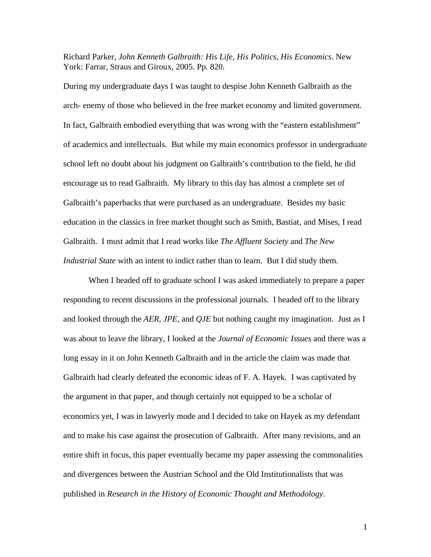Richard Parker, *John Kenneth Galbraith: His Life, His Politics, His Economics*. New York: Farrar, Straus and Giroux, 2005. Pp. 820.

During my undergraduate days I was taught to despise John Kenneth Galbraith as the arch- enemy of those who believed in the free market economy and limited government. In fact, Galbraith embodied everything that was wrong with the "eastern establishment" of academics and intellectuals. But while my main economics professor in undergraduate school left no doubt about his judgment on Galbraith's contribution to the field, he did encourage us to read Galbraith. My library to this day has almost a complete set of Galbraith's paperbacks that were purchased as an undergraduate. Besides my basic education in the classics in free market thought such as Smith, Bastiat, and Mises, I read Galbraith. I must admit that I read works like *The Affluent Society* and *The New Industrial State* with an intent to indict rather than to learn. But I did study them.

 When I headed off to graduate school I was asked immediately to prepare a paper responding to recent discussions in the professional journals. I headed off to the library and looked through the *AER*, *JPE*, and *QJE* but nothing caught my imagination. Just as I was about to leave the library, I looked at the *Journal of Economic Issues* and there was a long essay in it on John Kenneth Galbraith and in the article the claim was made that Galbraith had clearly defeated the economic ideas of F. A. Hayek. I was captivated by the argument in that paper, and though certainly not equipped to be a scholar of economics yet, I was in lawyerly mode and I decided to take on Hayek as my defendant and to make his case against the prosecution of Galbraith. After many revisions, and an entire shift in focus, this paper eventually became my paper assessing the commonalities and divergences between the Austrian School and the Old Institutionalists that was published in *Research in the History of Economic Thought and Methodology*.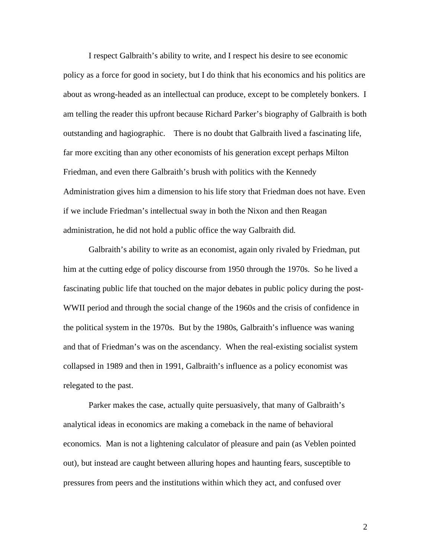I respect Galbraith's ability to write, and I respect his desire to see economic policy as a force for good in society, but I do think that his economics and his politics are about as wrong-headed as an intellectual can produce, except to be completely bonkers. I am telling the reader this upfront because Richard Parker's biography of Galbraith is both outstanding and hagiographic. There is no doubt that Galbraith lived a fascinating life, far more exciting than any other economists of his generation except perhaps Milton Friedman, and even there Galbraith's brush with politics with the Kennedy Administration gives him a dimension to his life story that Friedman does not have. Even if we include Friedman's intellectual sway in both the Nixon and then Reagan administration, he did not hold a public office the way Galbraith did.

 Galbraith's ability to write as an economist, again only rivaled by Friedman, put him at the cutting edge of policy discourse from 1950 through the 1970s. So he lived a fascinating public life that touched on the major debates in public policy during the post-WWII period and through the social change of the 1960s and the crisis of confidence in the political system in the 1970s. But by the 1980s, Galbraith's influence was waning and that of Friedman's was on the ascendancy. When the real-existing socialist system collapsed in 1989 and then in 1991, Galbraith's influence as a policy economist was relegated to the past.

 Parker makes the case, actually quite persuasively, that many of Galbraith's analytical ideas in economics are making a comeback in the name of behavioral economics. Man is not a lightening calculator of pleasure and pain (as Veblen pointed out), but instead are caught between alluring hopes and haunting fears, susceptible to pressures from peers and the institutions within which they act, and confused over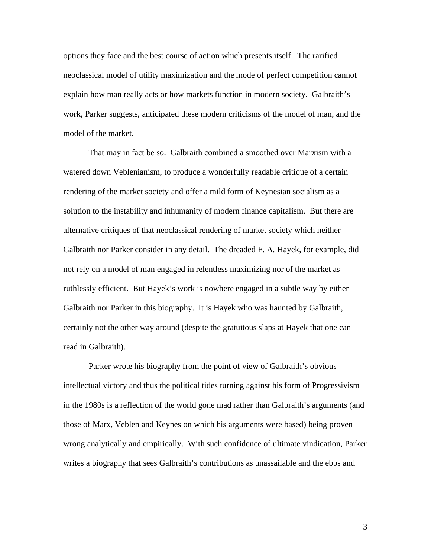options they face and the best course of action which presents itself. The rarified neoclassical model of utility maximization and the mode of perfect competition cannot explain how man really acts or how markets function in modern society. Galbraith's work, Parker suggests, anticipated these modern criticisms of the model of man, and the model of the market.

 That may in fact be so. Galbraith combined a smoothed over Marxism with a watered down Veblenianism, to produce a wonderfully readable critique of a certain rendering of the market society and offer a mild form of Keynesian socialism as a solution to the instability and inhumanity of modern finance capitalism. But there are alternative critiques of that neoclassical rendering of market society which neither Galbraith nor Parker consider in any detail. The dreaded F. A. Hayek, for example, did not rely on a model of man engaged in relentless maximizing nor of the market as ruthlessly efficient. But Hayek's work is nowhere engaged in a subtle way by either Galbraith nor Parker in this biography. It is Hayek who was haunted by Galbraith, certainly not the other way around (despite the gratuitous slaps at Hayek that one can read in Galbraith).

 Parker wrote his biography from the point of view of Galbraith's obvious intellectual victory and thus the political tides turning against his form of Progressivism in the 1980s is a reflection of the world gone mad rather than Galbraith's arguments (and those of Marx, Veblen and Keynes on which his arguments were based) being proven wrong analytically and empirically. With such confidence of ultimate vindication, Parker writes a biography that sees Galbraith's contributions as unassailable and the ebbs and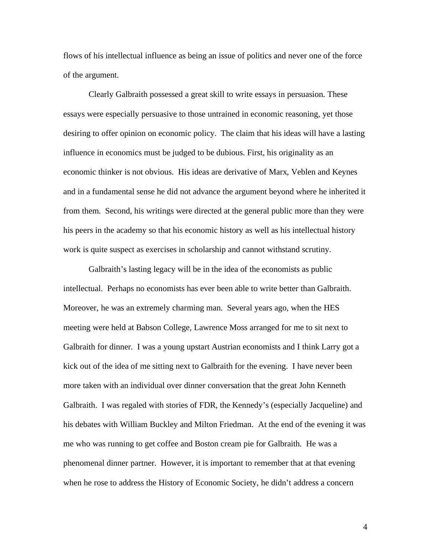flows of his intellectual influence as being an issue of politics and never one of the force of the argument.

 Clearly Galbraith possessed a great skill to write essays in persuasion. These essays were especially persuasive to those untrained in economic reasoning, yet those desiring to offer opinion on economic policy. The claim that his ideas will have a lasting influence in economics must be judged to be dubious. First, his originality as an economic thinker is not obvious. His ideas are derivative of Marx, Veblen and Keynes and in a fundamental sense he did not advance the argument beyond where he inherited it from them. Second, his writings were directed at the general public more than they were his peers in the academy so that his economic history as well as his intellectual history work is quite suspect as exercises in scholarship and cannot withstand scrutiny.

 Galbraith's lasting legacy will be in the idea of the economists as public intellectual. Perhaps no economists has ever been able to write better than Galbraith. Moreover, he was an extremely charming man. Several years ago, when the HES meeting were held at Babson College, Lawrence Moss arranged for me to sit next to Galbraith for dinner. I was a young upstart Austrian economists and I think Larry got a kick out of the idea of me sitting next to Galbraith for the evening. I have never been more taken with an individual over dinner conversation that the great John Kenneth Galbraith. I was regaled with stories of FDR, the Kennedy's (especially Jacqueline) and his debates with William Buckley and Milton Friedman. At the end of the evening it was me who was running to get coffee and Boston cream pie for Galbraith. He was a phenomenal dinner partner. However, it is important to remember that at that evening when he rose to address the History of Economic Society, he didn't address a concern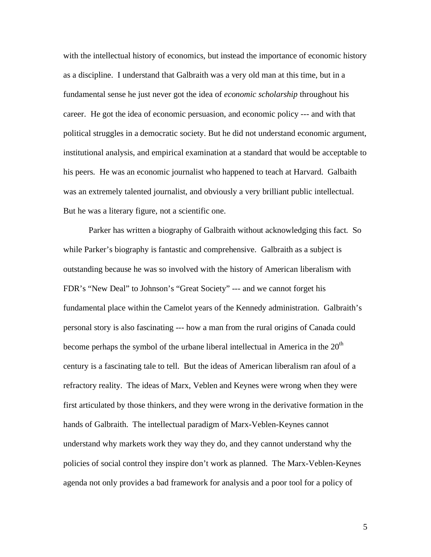with the intellectual history of economics, but instead the importance of economic history as a discipline. I understand that Galbraith was a very old man at this time, but in a fundamental sense he just never got the idea of *economic scholarship* throughout his career. He got the idea of economic persuasion, and economic policy --- and with that political struggles in a democratic society. But he did not understand economic argument, institutional analysis, and empirical examination at a standard that would be acceptable to his peers. He was an economic journalist who happened to teach at Harvard. Galbaith was an extremely talented journalist, and obviously a very brilliant public intellectual. But he was a literary figure, not a scientific one.

 Parker has written a biography of Galbraith without acknowledging this fact. So while Parker's biography is fantastic and comprehensive. Galbraith as a subject is outstanding because he was so involved with the history of American liberalism with FDR's "New Deal" to Johnson's "Great Society" --- and we cannot forget his fundamental place within the Camelot years of the Kennedy administration. Galbraith's personal story is also fascinating --- how a man from the rural origins of Canada could become perhaps the symbol of the urbane liberal intellectual in America in the  $20<sup>th</sup>$ century is a fascinating tale to tell. But the ideas of American liberalism ran afoul of a refractory reality. The ideas of Marx, Veblen and Keynes were wrong when they were first articulated by those thinkers, and they were wrong in the derivative formation in the hands of Galbraith. The intellectual paradigm of Marx-Veblen-Keynes cannot understand why markets work they way they do, and they cannot understand why the policies of social control they inspire don't work as planned. The Marx-Veblen-Keynes agenda not only provides a bad framework for analysis and a poor tool for a policy of